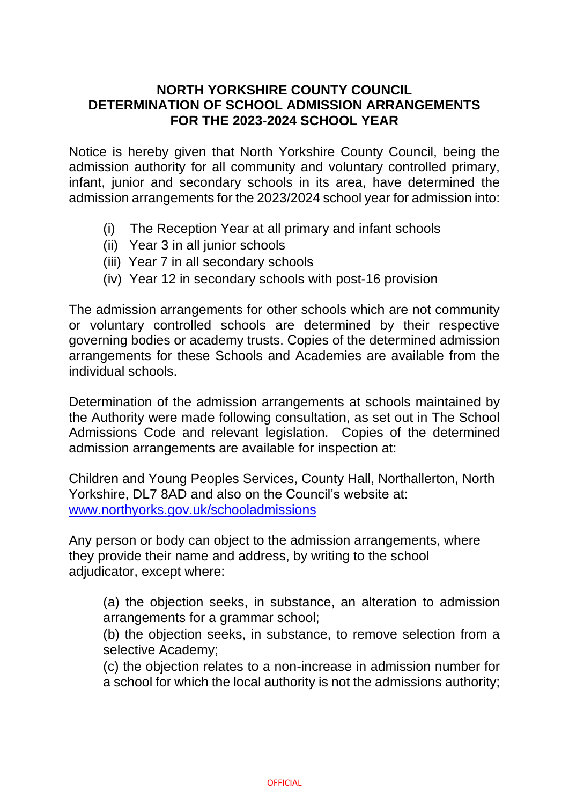## **NORTH YORKSHIRE COUNTY COUNCIL DETERMINATION OF SCHOOL ADMISSION ARRANGEMENTS FOR THE 2023-2024 SCHOOL YEAR**

Notice is hereby given that North Yorkshire County Council, being the admission authority for all community and voluntary controlled primary, infant, junior and secondary schools in its area, have determined the admission arrangements for the 2023/2024 school year for admission into:

- (i) The Reception Year at all primary and infant schools
- (ii) Year 3 in all junior schools
- (iii) Year 7 in all secondary schools
- (iv) Year 12 in secondary schools with post-16 provision

The admission arrangements for other schools which are not community or voluntary controlled schools are determined by their respective governing bodies or academy trusts. Copies of the determined admission arrangements for these Schools and Academies are available from the individual schools.

Determination of the admission arrangements at schools maintained by the Authority were made following consultation, as set out in The School Admissions Code and relevant legislation. Copies of the determined admission arrangements are available for inspection at:

Children and Young Peoples Services, County Hall, Northallerton, North Yorkshire, DL7 8AD and also on the Council's website at: [www.northyorks.gov.uk/schooladmissions](file://///county.nycc.internal/Data/CYPS-DATA/SS%20Strat%20Plan/Strategic%20Planning/ADMISSIONS/Published%20Admission%20Limits_/PAN%2018%20-%2019/Determination%2018-19%20inc%20Other%20Authorities/www.northyorks.gov.uk/schooladmissions)

Any person or body can object to the admission arrangements, where they provide their name and address, by writing to the school adjudicator, except where:

(a) the objection seeks, in substance, an alteration to admission arrangements for a grammar school;

(b) the objection seeks, in substance, to remove selection from a selective Academy;

(c) the objection relates to a non-increase in admission number for a school for which the local authority is not the admissions authority;